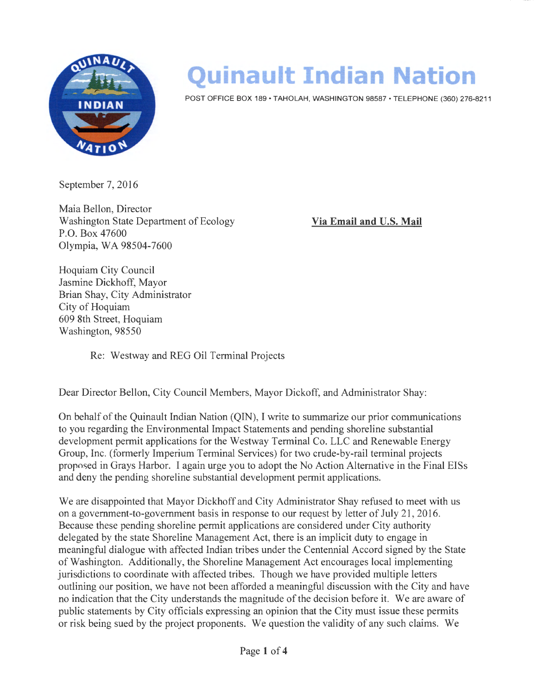

## **Quinault Indian Nation**

POST OFFICE BOX 189 • TAHOLAH, WASHINGTON 98587 • TELEPHONE (360) 276-8211

September 7, 2016

Maia Bellon, Director Washington State Department of Ecology P.O. Box 47600 Olympia, WA 98504-7600

**Via Email and U.S. Mail** 

Hoquiam City Council Jasmine Dickhoff, Mayor Brian Shay, City Administrator City of Hoquiam 609 8th Street, Hoquiam Washington, 98550

Re: Westway and REG Oil Terminal Projects

Dear Director Bellon, City Council Members, Mayor Dickoff, and Administrator Shay:

On behalf of the Quinault Indian Nation (QIN), I write to summarize our prior communications to you regarding the Environmental Impact Statements and pending shoreline substantial development permit applications for the Westway Terminal Co. LLC and Renewable Energy Group, Inc. (formerly Imperium Terminal Services) for two crude-by-rail terminal projects proposed in Grays Harbor. I again urge you to adopt the No Action Alternative in the Final EISs and deny the pending shoreline substantial development permit applications.

We are disappointed that Mayor Dickhoff and City Administrator Shay refused to meet with us on a government-to-government basis in response to our request by letter of July 21 , 2016. Because these pending shoreline permit applications are considered under City authority delegated by the state Shoreline Management Act, there is an implicit duty to engage in meaningful dialogue with affected Indian tribes under the Centennial Accord signed by the State of Washington. Additionally, the Shoreline Management Act encourages local implementing jurisdictions to coordinate with affected tribes. Though we have provided multiple letters outlining our position, we have not been afforded a meaningful discussion with the City and have no indication that the City understands the magnitude of the decision before it. We are aware of public statements by City officials expressing an opinion that the City must issue these permits or risk being sued by the project proponents. We question the validity of any such claims. We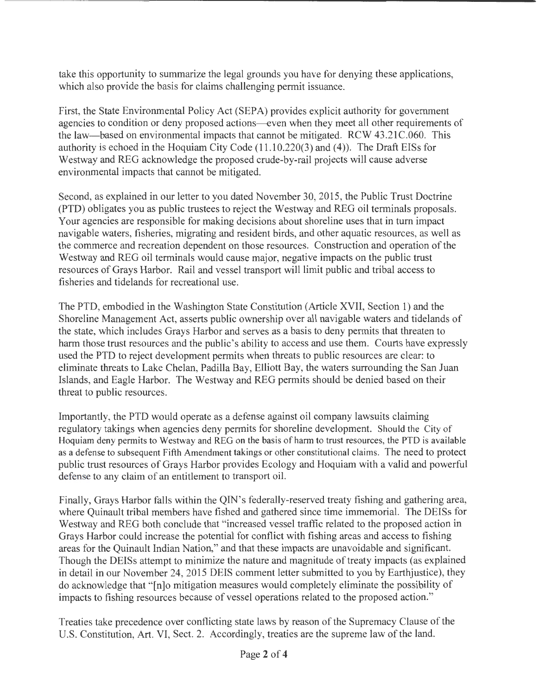take this opportunity to summarize the legal grounds you have for denying these applications, which also provide the basis for claims challenging permit issuance.

First, the State Environmental Policy Act (SEPA) provides explicit authority for government agencies to condition or deny proposed actions--even when they meet all other requirements of the law-based on environmental impacts that cannot be mitigated. RCW 43.21C.060. This authority is echoed in the Hoquiam City Code (11.10.220(3) and (4)). The Draft EISs for Westway and REG acknowledge the proposed crude-by-rail projects will cause adverse environmental impacts that cannot be mitigated.

Second, as explained in our letter to you dated November 30, 2015, the Public Trust Doctrine (PTD) obligates you as public trustees to reject the Westway and REG oil terminals proposals. Your agencies are responsible for making decisions about shoreline uses that in turn impact navigable waters, fisheries, migrating and resident birds, and other aquatic resources, as well as the commerce and recreation dependent on those resources. Construction and operation of the Westway and REG oil terminals would cause major, negative impacts on the public trust resources of Grays Harbor. Rail and vessel transport will limit public and tribal access to fisheries and tidelands for recreational use.

The PTD, embodied in the Washington State Constitution (Article XVII, Section 1) and the Shoreline Management Act, asserts public ownership over all navigable waters and tidelands of the state, which includes Grays Harbor and serves as a basis to deny permits that threaten to harm those trust resources and the public's ability to access and use them. Courts have expressly used the PTD to reject development permits when threats to public resources are clear: to eliminate threats to Lake Chelan, Padilla Bay, Elliott Bay, the waters surrounding the San Juan Islands, and Eagle Harbor. The Westway and REG permits should be denied based on their threat to public resources.

Importantly, the PTD would operate as a defense against oil company lawsuits claiming regulatory takings when agencies deny permits for shoreline development. Should the City of Hoquiam deny permits to Westway and REG on the basis of harm to trust resources, the PTO is available as a defense to subsequent Fifth Amendment takings or other constitutional claims. The need to protect public trust resources of Grays Harbor provides Ecology and Hoquiam with a valid and powerful defense to any claim of an entitlement to transport oil.

Finally, Grays Harbor falls within the QIN's federally-reserved treaty fishing and gathering area, where Quinault tribal members have fished and gathered since time immemorial. The DEISs for Westway and REG both conclude that "increased vessel traffic related to the proposed action in Grays Harbor could increase the potential for conflict with fishing areas and access to fishing areas for the Quinault Indian Nation," and that these impacts are unavoidable and significant. Though the DEISs attempt to minimize the nature and magnitude of treaty impacts (as explained in detail in our November 24, 2015 DEIS comment letter submitted to you by Earthjustice), they do acknowledge that "[n]o mitigation measures would completely eliminate the possibility of impacts to fishing resources because of vessel operations related to the proposed action."

Treaties take precedence over conflicting state laws by reason of the Supremacy Clause of the U.S. Constitution, Art. VI, Sect. 2. Accordingly, treaties are the supreme law of the land.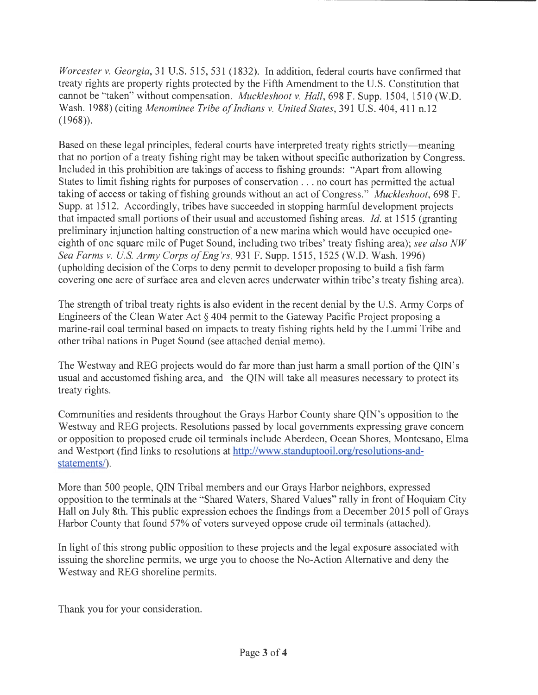*Worcester v. Georgia,* 31 U.S. 515, 531 (1832). In addition, federal courts have confirmed that treaty rights are property rights protected by the Fifth Amendment to the U.S. Constitution that cannot be "taken" without compensation. *Muckleshoot* v. *Hall,* 698 F. Supp. 1504, 1510 (W.D. Wash. 1988) (citing *Menominee Tribe of Indians* v. *United States,* 391 U.S. 404, 411 n.12 (1968)).

Based on these legal principles, federal courts have interpreted treaty rights strictly—meaning that no portion of a treaty fishing right may be taken without specific authorization by Congress. Included in this prohibition are takings of access to fishing grounds: "Apart from allowing States to limit fishing rights for purposes of conservation ... no court has permitted the actual taking of access or taking of fishing grounds without an act of Congress." *Muckleshoot,* 698 F. Supp. at 1512. Accordingly, tribes have succeeded in stopping harmful development projects that impacted small portions of their usual and accustomed fishing areas. *Id.* at 1515 (granting preliminary injunction halting construction of a new marina which would have occupied oneeighth of one square mile of Puget Sound, including two tribes' treaty fishing area); *see also NW Sea Farms v. U S. Army Corps of Eng 'rs,* 931 F. Supp. 1515, 1525 (W.D. Wash. 1996) (upholding decision of the Corps to deny permit to developer proposing to build a fish farm covering one acre of surface area and eleven acres underwater within tribe's treaty fishing area).

The strength of tribal treaty rights is also evident in the recent denial by the U.S. Army Corps of Engineers of the Clean Water Act§ 404 permit to the Gateway Pacific Project proposing a marine-rail coal terminal based on impacts to treaty fishing rights held by the Lummi Tribe and other tribal nations in Puget Sound (see attached denial memo).

The Westway and REG projects would do far more than just harm a small portion of the QIN's usual and accustomed fishing area, and the QIN will take all measures necessary to protect its treaty rights.

Communities and residents throughout the Grays Harbor County share QIN's opposition to the Westway and REG projects. Resolutions passed by local governments expressing grave concern or opposition to proposed crude oil terminals include Aberdeen, Ocean Shores, Montesano, Elma and Westport (find links to resolutions at http://www.standuptooil.org/resolutions-andstatements/).

More than 500 people, QIN Tribal members and our Grays Harbor neighbors, expressed opposition to the terminals at the "Shared Waters, Shared Values" rally in front of Hoquiam City Hall on July 8th. This public expression echoes the findings from a December 2015 poll of Grays Harbor County that found 57% of voters surveyed oppose crude oil terminals (attached).

In light of this strong public opposition to these projects and the legal exposure associated with issuing the shoreline permits, we urge you to choose the No-Action Alternative and deny the Westway and REG shoreline permits.

Thank you for your consideration.